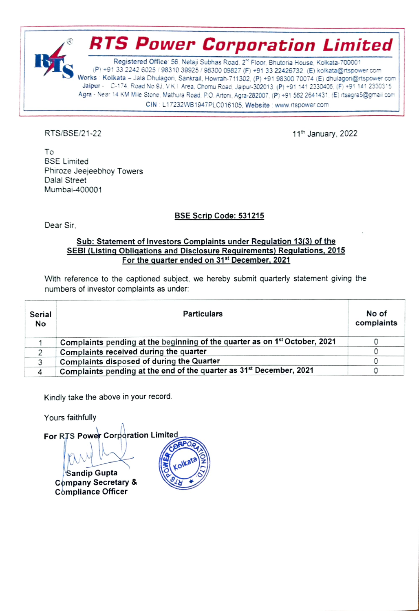

CIN : L17232WB1947PLC016105, Website : www.rtspower.com

RTS/BSE/21-22 11th January, 2022

To BSE Limited Phiroze Jeejeebhoy Towers Dalal Street Mumbai-400001

### BSE Scrip Code: 531215

Dear Sir,

#### Sub: Statement of Investors Complaints under Requlation 13/3) of the SEBI (Listing Obligations and Disclosure Requirements) Requlations, 2015 For the quarter ended on 31st December, 2021

With reference to the captioned subject, we hereby submit quarterly statement giving the numbers of investor complaints as under.

| Serial<br>No | <b>Particulars</b>                                                                     | No of<br>complaints |
|--------------|----------------------------------------------------------------------------------------|---------------------|
|              | Complaints pending at the beginning of the quarter as on 1 <sup>st</sup> October, 2021 |                     |
|              | Complaints received during the quarter                                                 |                     |
| 3            | Complaints disposed of during the Quarter                                              |                     |
| 4            | Complaints pending at the end of the quarter as 31 <sup>st</sup> December, 2021        |                     |

Kindly take the above in your record.

Yours faithfully

For RTS Power Corporation Limited CORPORT Sandip Gupta Cpmpany Secretary & Compliance Officer